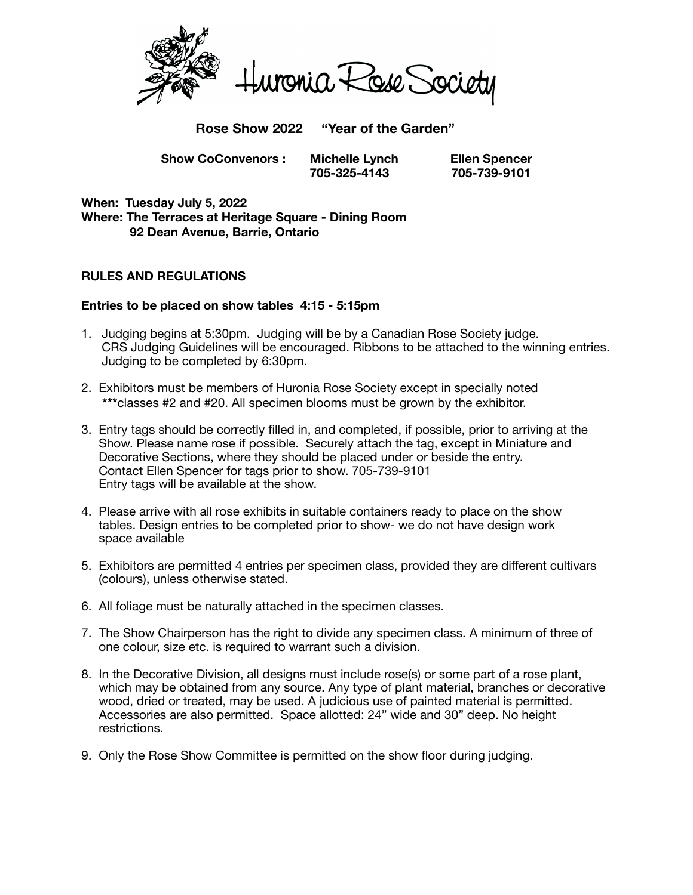

**Rose Show 2022 "Year of the Garden"**

 **Show CoConvenors : Michelle Lynch Ellen Spencer** 

 **705-325-4143 705-739-9101** 

**When: Tuesday July 5, 2022 Where: The Terraces at Heritage Square - Dining Room 92 Dean Avenue, Barrie, Ontario** 

## **RULES AND REGULATIONS**

#### **Entries to be placed on show tables 4:15 - 5:15pm**

- 1. Judging begins at 5:30pm. Judging will be by a Canadian Rose Society judge. CRS Judging Guidelines will be encouraged. Ribbons to be attached to the winning entries. Judging to be completed by 6:30pm.
- 2. Exhibitors must be members of Huronia Rose Society except in specially noted **\*\*\***classes #2 and #20. All specimen blooms must be grown by the exhibitor.
- 3. Entry tags should be correctly filled in, and completed, if possible, prior to arriving at the Show. Please name rose if possible. Securely attach the tag, except in Miniature and Decorative Sections, where they should be placed under or beside the entry. Contact Ellen Spencer for tags prior to show. 705-739-9101 Entry tags will be available at the show.
- 4. Please arrive with all rose exhibits in suitable containers ready to place on the show tables. Design entries to be completed prior to show- we do not have design work space available
- 5. Exhibitors are permitted 4 entries per specimen class, provided they are different cultivars (colours), unless otherwise stated.
- 6. All foliage must be naturally attached in the specimen classes.
- 7. The Show Chairperson has the right to divide any specimen class. A minimum of three of one colour, size etc. is required to warrant such a division.
- 8. In the Decorative Division, all designs must include rose(s) or some part of a rose plant, which may be obtained from any source. Any type of plant material, branches or decorative wood, dried or treated, may be used. A judicious use of painted material is permitted. Accessories are also permitted. Space allotted: 24" wide and 30" deep. No height restrictions.
- 9. Only the Rose Show Committee is permitted on the show floor during judging.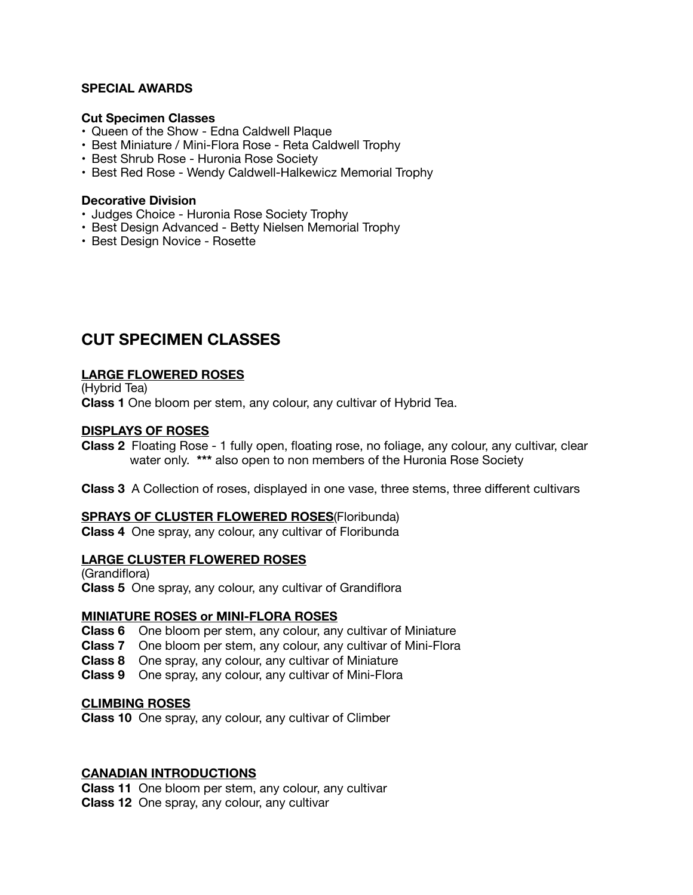#### **SPECIAL AWARDS**

#### **Cut Specimen Classes**

- Queen of the Show Edna Caldwell Plaque
- Best Miniature / Mini-Flora Rose Reta Caldwell Trophy
- Best Shrub Rose Huronia Rose Society
- Best Red Rose Wendy Caldwell-Halkewicz Memorial Trophy

#### **Decorative Division**

- Judges Choice Huronia Rose Society Trophy
- Best Design Advanced Betty Nielsen Memorial Trophy
- Best Design Novice Rosette

## **CUT SPECIMEN CLASSES**

### **LARGE FLOWERED ROSES**

(Hybrid Tea) **Class 1** One bloom per stem, any colour, any cultivar of Hybrid Tea.

#### **DISPLAYS OF ROSES**

**Class 2** Floating Rose - 1 fully open, floating rose, no foliage, any colour, any cultivar, clear water only. **\*\*\*** also open to non members of the Huronia Rose Society

**Class 3** A Collection of roses, displayed in one vase, three stems, three different cultivars

#### **SPRAYS OF CLUSTER FLOWERED ROSES**(Floribunda)

**Class 4** One spray, any colour, any cultivar of Floribunda

#### **LARGE CLUSTER FLOWERED ROSES**

(Grandiflora) **Class 5** One spray, any colour, any cultivar of Grandiflora

#### **MINIATURE ROSES or MINI-FLORA ROSES**

- **Class 6** One bloom per stem, any colour, any cultivar of Miniature
- **Class 7** One bloom per stem, any colour, any cultivar of Mini-Flora
- **Class 8** One spray, any colour, any cultivar of Miniature
- **Class 9** One spray, any colour, any cultivar of Mini-Flora

#### **CLIMBING ROSES**

**Class 10** One spray, any colour, any cultivar of Climber

#### **CANADIAN INTRODUCTIONS**

**Class 11** One bloom per stem, any colour, any cultivar **Class 12** One spray, any colour, any cultivar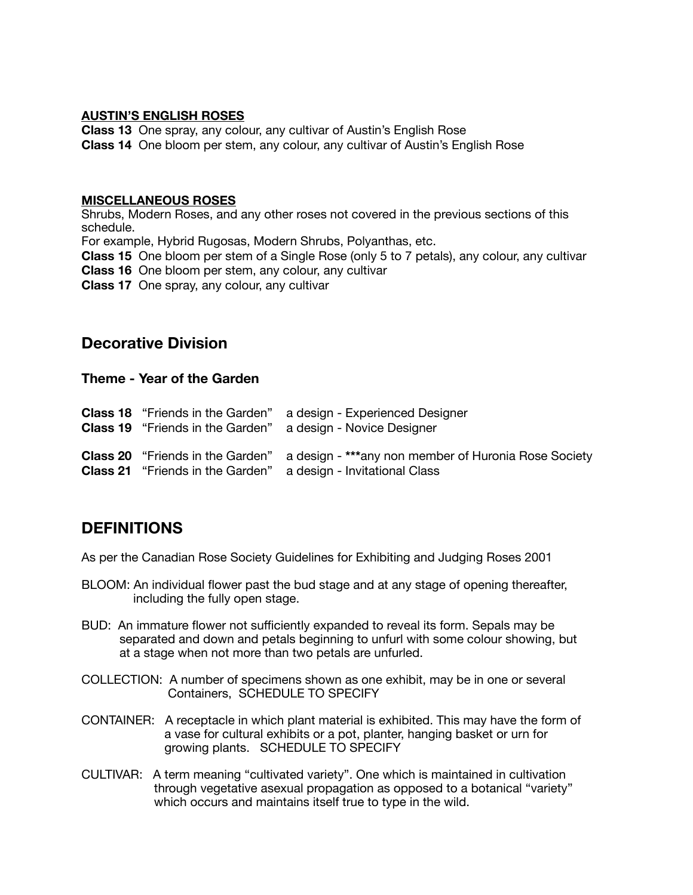#### **AUSTIN'S ENGLISH ROSES**

**Class 13** One spray, any colour, any cultivar of Austin's English Rose **Class 14** One bloom per stem, any colour, any cultivar of Austin's English Rose

#### **MISCELLANEOUS ROSES**

Shrubs, Modern Roses, and any other roses not covered in the previous sections of this schedule. For example, Hybrid Rugosas, Modern Shrubs, Polyanthas, etc. **Class 15** One bloom per stem of a Single Rose (only 5 to 7 petals), any colour, any cultivar

**Class 16** One bloom per stem, any colour, any cultivar

**Class 17** One spray, any colour, any cultivar

## **Decorative Division**

### **Theme - Year of the Garden**

| <b>Class 18</b> "Friends in the Garden" | a design - Experienced Designer<br><b>Class 19</b> "Friends in the Garden" a design - Novice Designer                                                                 |
|-----------------------------------------|-----------------------------------------------------------------------------------------------------------------------------------------------------------------------|
|                                         | <b>Class 20</b> "Friends in the Garden" a design - ***any non member of Huronia Rose Society<br><b>Class 21</b> "Friends in the Garden" a design - Invitational Class |

# **DEFINITIONS**

As per the Canadian Rose Society Guidelines for Exhibiting and Judging Roses 2001

- BLOOM: An individual flower past the bud stage and at any stage of opening thereafter, including the fully open stage.
- BUD: An immature flower not sufficiently expanded to reveal its form. Sepals may be separated and down and petals beginning to unfurl with some colour showing, but at a stage when not more than two petals are unfurled.
- COLLECTION: A number of specimens shown as one exhibit, may be in one or several Containers, SCHEDULE TO SPECIFY
- CONTAINER: A receptacle in which plant material is exhibited. This may have the form of a vase for cultural exhibits or a pot, planter, hanging basket or urn for growing plants. SCHEDULE TO SPECIFY
- CULTIVAR: A term meaning "cultivated variety". One which is maintained in cultivation through vegetative asexual propagation as opposed to a botanical "variety" which occurs and maintains itself true to type in the wild.